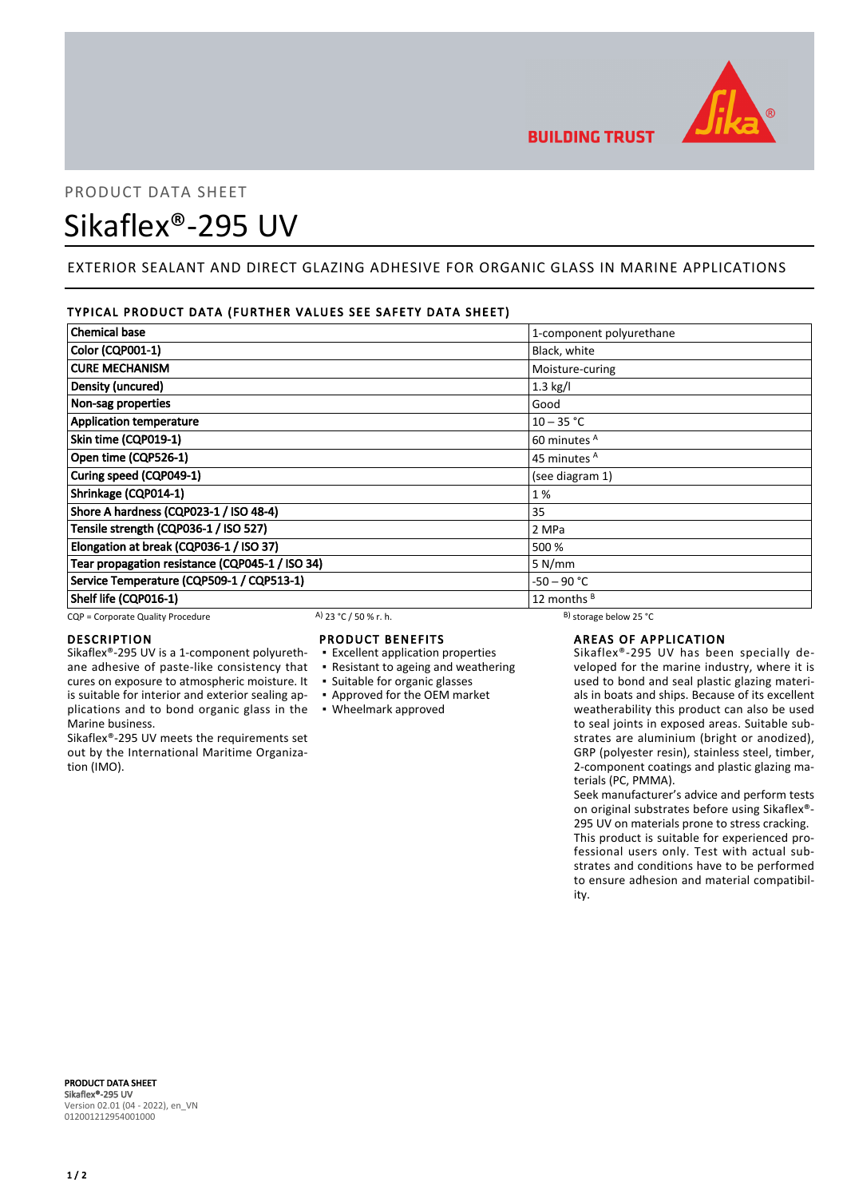

# PRODUCT DATA SHEET Sikaflex®-295 UV

# EXTERIOR SEALANT AND DIRECT GLAZING ADHESIVE FOR ORGANIC GLASS IN MARINE APPLICATIONS

### TYPICAL PRODUCT DATA (FURTHER VALUES SEE SAFETY DATA SHEET)

| <b>Chemical base</b>                            | 1-component polyurethane |
|-------------------------------------------------|--------------------------|
| <b>Color (CQP001-1)</b>                         | Black, white             |
| <b>CURE MECHANISM</b>                           | Moisture-curing          |
| Density (uncured)                               | $1.3$ kg/l               |
| Non-sag properties                              | Good                     |
| <b>Application temperature</b>                  | $10 - 35 °C$             |
| Skin time (CQP019-1)                            | 60 minutes <sup>A</sup>  |
| Open time (CQP526-1)                            | 45 minutes <sup>A</sup>  |
| Curing speed (CQP049-1)                         | (see diagram 1)          |
| Shrinkage (CQP014-1)                            | 1%                       |
| Shore A hardness (CQP023-1 / ISO 48-4)          | 35                       |
| Tensile strength (CQP036-1 / ISO 527)           | 2 MPa                    |
| Elongation at break (CQP036-1 / ISO 37)         | 500 %                    |
| Tear propagation resistance (CQP045-1 / ISO 34) | 5 N/mm                   |
| Service Temperature (CQP509-1 / CQP513-1)       | -50 – 90 °C              |
| Shelf life (CQP016-1)                           | 12 months $B$            |

CQP = Corporate Quality Procedure A) 23 °C / 50 % r. h. B) storage below 25 °C

ane adhesive of paste-like consistency that cures on exposure to atmospheric moisture. It is suitable for interior and exterior sealing applications and to bond organic glass in the

Sikaflex®-295 UV meets the requirements set out by the International Maritime Organiza-

#### DESCRIPTION Sikaflex®-295 UV is a 1-component polyureth-

Marine business.

tion (IMO).

# PRODUCT BENEFITS

- **Excellent application properties**
- Resistant to ageing and weathering
- Suitable for organic glasses
- Approved for the OEM market
- Wheelmark approved

# AREAS OF APPLICATION

Sikaflex®-295 UV has been specially developed for the marine industry, where it is used to bond and seal plastic glazing materials in boats and ships. Because of its excellent weatherability this product can also be used to seal joints in exposed areas. Suitable substrates are aluminium (bright or anodized), GRP (polyester resin), stainless steel, timber, 2-component coatings and plastic glazing materials (PC, PMMA).

Seek manufacturer's advice and perform tests on original substrates before using Sikaflex®- 295 UV on materials prone to stress cracking. This product is suitable for experienced professional users only. Test with actual substrates and conditions have to be performed to ensure adhesion and material compatibility.

PRODUCT DATA SHEET Sikaflex®-295 UV Version 02.01 (04 - 2022), en\_VN 012001212954001000